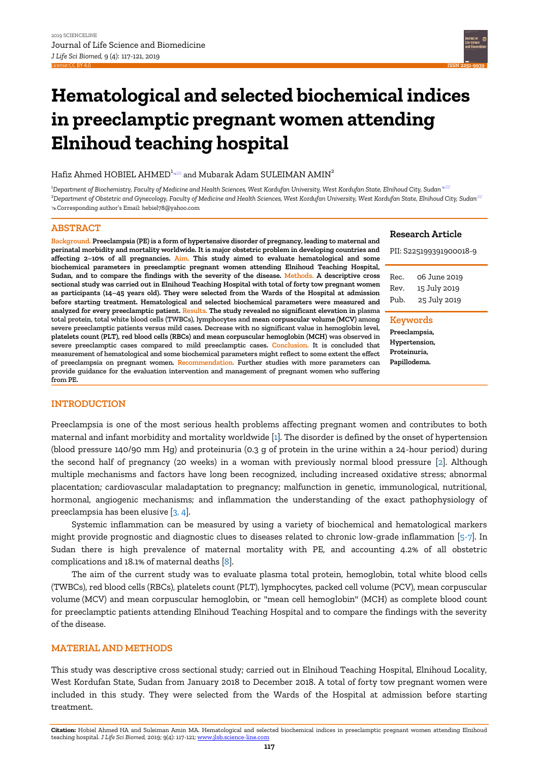

# **Hematological and selected biochemical indices in preeclamptic pregnant women attending Elnihoud teaching hospital**

# Hafiz Ahmed HOBIEL AHMED<sup>1</sup><sup>8</sup> and Mubarak Adam SULEIMAN AMIN<sup>2</sup>

<sup>1</sup>*Department of Biochemistry, Faculty of Medicine and Health Sciences, West Kordufan University, West Kordufan State, Elnihoud City, Sudan<sup>s &</sup> <sup>2</sup>Department of Obstetric and Gynecology, Faculty of Medicine and Health Sciences, West Kordufan University, West Kordufan State, Elnihoud City, Sudan* Corresponding author's Email: hebiel78@yahoo.com

## **ABSTRACT**

**Background. Preeclampsia (PE) is a form of hypertensive disorder of pregnancy, leading to maternal and perinatal morbidity and mortality worldwide. It is major obstetric problem in developing countries and affecting 2–10% of all pregnancies. Aim. This study aimed to evaluate hematological and some biochemical parameters in preeclamptic pregnant women attending Elnihoud Teaching Hospital, Sudan, and to compare the findings with the severity of the disease. Methods. A descriptive cross sectional study was carried out in Elnihoud Teaching Hospital with total of forty tow pregnant women as participants (14–45 years old). They were selected from the Wards of the Hospital at admission before starting treatment. Hematological and selected biochemical parameters were measured and analyzed for every preeclamptic patient. Results. The study revealed no significant elevation in plasma total protein, total white blood cells (TWBCs), lymphocytes and mean corpuscular volume (MCV) among severe preeclamptic patients versus mild cases. Decrease with no significant value in hemoglobin level, platelets count (PLT), red blood cells (RBCs) and mean corpuscular hemoglobin (MCH) was observed in severe preeclamptic cases compared to mild preeclamptic cases. Conclusion. It is concluded that measurement of hematological and some biochemical parameters might reflect to some extent the effect of preeclampsia on pregnant women. Recommendation. Further studies with more parameters can provide guidance for the evaluation intervention and management of pregnant women who suffering from PE.**

#### **Research Article**

|                     | PII: S225199391900018-9                      |  |  |  |
|---------------------|----------------------------------------------|--|--|--|
| Rec.<br>Rev.<br>Puh | 06 June 2019<br>15 July 2019<br>25 July 2019 |  |  |  |
| <b>Keywords</b>     |                                              |  |  |  |

**Preeclampsia, Hypertension, Proteinuria, Papillodema.**

# **INTRODUCTION**

Preeclampsia is one of the most serious health problems affecting pregnant women and contributes to both maternal and infant morbidity and mortality worldwide [\[1\]](#page-3-0). The disorder is defined by the onset of hypertension (blood pressure 140/90 mm Hg) and proteinuria (0.3 g of protein in the urine within a 24-hour period) during the second half of pregnancy (20 weeks) in a woman with previously normal blood pressure [\[2\]](#page-3-1). Although multiple mechanisms and factors have long been recognized, including increased oxidative stress; abnormal placentation; cardiovascular maladaptation to pregnancy; malfunction in genetic, immunological, nutritional, hormonal, angiogenic mechanisms; and inflammation the understanding of the exact pathophysiology of preeclampsia has been elusive [\[3,](#page-4-0) [4\]](#page-4-1).

Systemic inflammation can be measured by using a variety of biochemical and hematological markers might provide prognostic and diagnostic clues to diseases related to chronic low-grade inflammation [\[5-7\]](#page-4-2). In Sudan there is high prevalence of maternal mortality with PE, and accounting 4.2% of all obstetric complications and 18.1% of maternal deaths [\[8\]](#page-4-3).

The aim of the current study was to evaluate plasma total protein, hemoglobin, total white blood cells (TWBCs), red blood cells (RBCs), platelets count (PLT), lymphocytes, packed cell volume (PCV), mean corpuscular volume (MCV) and mean corpuscular hemoglobin, or "mean cell hemoglobin" (MCH) as complete blood count for preeclamptic patients attending Elnihoud Teaching Hospital and to compare the findings with the severity of the disease.

## **MATERIAL AND METHODS**

This study was descriptive cross sectional study; carried out in Elnihoud Teaching Hospital, Elnihoud Locality, West Kordufan State, Sudan from January 2018 to December 2018. A total of forty tow pregnant women were included in this study. They were selected from the Wards of the Hospital at admission before starting treatment.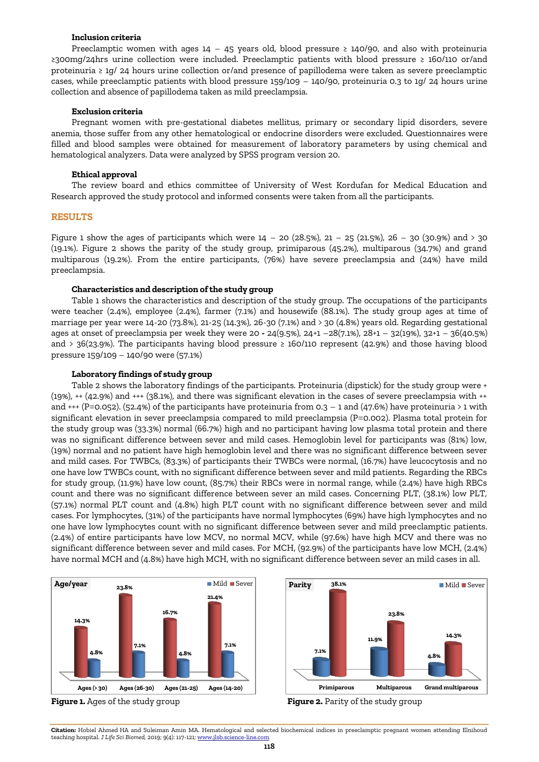#### **Inclusion criteria**

Preeclamptic women with ages  $14 - 45$  years old, blood pressure ≥ 140/90, and also with proteinuria ≥300mg/24hrs urine collection were included. Preeclamptic patients with blood pressure ≥ 160/110 or/and proteinuria ≥ 1g/ 24 hours urine collection or/and presence of papillodema were taken as severe preeclamptic cases, while preeclamptic patients with blood pressure 159/109 – 140/90, proteinuria 0.3 to 1g/ 24 hours urine collection and absence of papillodema taken as mild preeclampsia.

## **Exclusion criteria**

Pregnant women with pre-gestational diabetes mellitus, primary or secondary lipid disorders, severe anemia, those suffer from any other hematological or endocrine disorders were excluded. Questionnaires were filled and blood samples were obtained for measurement of laboratory parameters by using chemical and hematological analyzers. Data were analyzed by SPSS program version 20.

#### **Ethical approval**

The review board and ethics committee of University of West Kordufan for Medical Education and Research approved the study protocol and informed consents were taken from all the participants.

#### **RESULTS**

Figure 1 show the ages of participants which were 14 – 20 (28.5%), 21 – 25 (21.5%), 26 – 30 (30.9%) and > 30 (19.1%). Figure 2 shows the parity of the study group, primiparous (45.2%), multiparous (34.7%) and grand multiparous (19.2%). From the entire participants, (76%) have severe preeclampsia and (24%) have mild preeclampsia.

#### **Characteristics and description of the study group**

Table 1 shows the characteristics and description of the study group. The occupations of the participants were teacher (2.4%), employee (2.4%), farmer (7.1%) and housewife (88.1%). The study group ages at time of marriage per year were 14-20 (73.8%), 21-25 (14.3%), 26-30 (7.1%) and > 30 (4.8%) years old. Regarding gestational ages at onset of preeclampsia per week they were 20 **-** 24(9.5%), 24+1 –28(7.1%), 28+1 – 32(19%), 32+1 – 36(40.5%) and > 36(23.9%). The participants having blood pressure ≥ 160/110 represent (42.9%) and those having blood pressure 159/109 – 140/90 were (57.1%)

#### **Laboratory findings of study group**

Table 2 shows the laboratory findings of the participants. Proteinuria (dipstick) for the study group were + (19%), ++ (42.9%) and +++ (38.1%), and there was significant elevation in the cases of severe preeclampsia with ++ and +++ (P=0.052). (52.4%) of the participants have proteinuria from 0.3 – 1 and (47.6%) have proteinuria > 1 with significant elevation in sever preeclampsia compared to mild preeclampsia (P=0.002). Plasma total protein for the study group was (33.3%) normal (66.7%) high and no participant having low plasma total protein and there was no significant difference between sever and mild cases. Hemoglobin level for participants was (81%) low, (19%) normal and no patient have high hemoglobin level and there was no significant difference between sever and mild cases. For TWBCs, (83.3%) of participants their TWBCs were normal, (16.7%) have leucocytosis and no one have low TWBCs count, with no significant difference between sever and mild patients. Regarding the RBCs for study group, (11.9%) have low count, (85.7%) their RBCs were in normal range, while (2.4%) have high RBCs count and there was no significant difference between sever an mild cases. Concerning PLT, (38.1%) low PLT, (57.1%) normal PLT count and (4.8%) high PLT count with no significant difference between sever and mild cases. For lymphocytes, (31%) of the participants have normal lymphocytes (69%) have high lymphocytes and no one have low lymphocytes count with no significant difference between sever and mild preeclamptic patients. (2.4%) of entire participants have low MCV, no normal MCV, while (97.6%) have high MCV and there was no significant difference between sever and mild cases. For MCH, (92.9%) of the participants have low MCH, (2.4%) have normal MCH and (4.8%) have high MCH, with no significant difference between sever an mild cases in all.









**Citation:** Hobiel Ahmed HA and Suleiman Amin MA. Hematological and selected biochemical indices in preeclamptic pregnant women attending Elnihoud teaching hospital. *J Life Sci Biomed*, 2019; 9(4): 117-121; www.jlsb.science-line.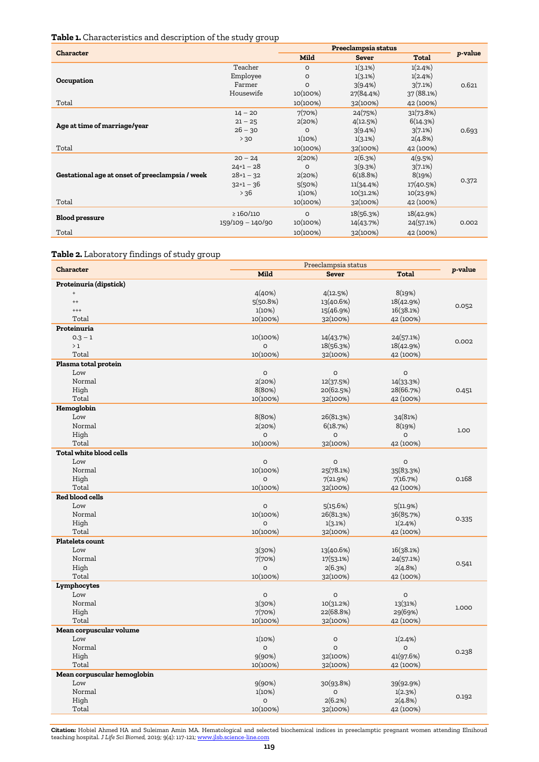# **Table 1.** Characteristics and description of the study group

| <b>Character</b>                                |                  | Preeclampsia status |              |            |         |  |
|-------------------------------------------------|------------------|---------------------|--------------|------------|---------|--|
|                                                 |                  | <b>Mild</b>         | <b>Sever</b> | Total      | p-value |  |
|                                                 | Teacher          | $\circ$             | 1(3.1%)      | 1(2.4%)    |         |  |
| Occupation                                      | Employee         | O                   | 1(3.1%)      | 1(2.4%)    |         |  |
|                                                 | Farmer           | $\circ$             | 3(9.4%)      | 3(7.1%)    | 0.621   |  |
|                                                 | Housewife        | 10(100%)            | 27(84.4%)    | 37 (88.1%) |         |  |
| Total                                           |                  | 10(100%)            | 32(100%)     | 42 (100%)  |         |  |
|                                                 | $14 - 20$        | 7(70%)              | 24(75%)      | 31(73.8%)  | 0.693   |  |
|                                                 | $21 - 25$        | 2(20%)              | 4(12.5%)     | 6(14.3%)   |         |  |
| Age at time of marriage/year                    | $26 - 30$        | $\Omega$            | 3(9.4%)      | 3(7.1%)    |         |  |
|                                                 | > 30             | 1(10%)              | 1(3.1%)      | 2(4.8%)    |         |  |
| Total                                           |                  | 10(100%)            | 32(100%)     | 42 (100%)  |         |  |
|                                                 | $20 - 24$        | 2(20%)              | 2(6.3%)      | 4(9.5%)    | 0.372   |  |
|                                                 | $24+1-28$        | $\Omega$            | 3(9.3%)      | 3(7.1%)    |         |  |
| Gestational age at onset of preeclampsia / week | $28+1-32$        | 2(20%)              | 6(18.8%)     | 8(19%)     |         |  |
|                                                 | $32+1-36$        | 5(50%)              | 11(34.4%)    | 17(40.5%)  |         |  |
|                                                 | $> 36$           | 1(10%)              | 10(31.2%)    | 10(23.9%)  |         |  |
| Total                                           |                  | 10(100%)            | 32(100%)     | 42 (100%)  |         |  |
|                                                 | $\geq 160/110$   | $\circ$             | 18(56.3%)    | 18(42.9%)  |         |  |
| <b>Blood pressure</b>                           | 159/109 - 140/90 | 10(100%)            | 14(43.7%)    | 24(57.1%)  | 0.002   |  |
| Total                                           |                  | 10(100%)            | 32(100%)     | 42 (100%)  |         |  |

# **Table 2.** Laboratory findings of study group

| Mild<br><b>Total</b><br><b>Sever</b><br>Proteinuria (dipstick)<br>8(19%)<br>4(40%)<br>4(12.5%)<br>$\qquad \qquad +$<br>18(42.9%)<br>$^{++}$<br>5(50.8%)<br>13(40.6%)<br>0.052<br>15(46.9%)<br>16(38.1%)<br>$^{+++}$<br>1(10%)<br>Total<br>10(100%)<br>42 (100%)<br>32(100%)<br>Proteinuria<br>10(100%)<br>14(43.7%)<br>$0.3 - 1$<br>24(57.1%)<br>0.002<br>18(56.3%)<br>18(42.9%)<br>>1<br>$\circ$<br>Total<br>10(100%)<br>42 (100%)<br>32(100%)<br>Plasma total protein<br>Low<br>O<br>O<br>$\mathsf O$<br>Normal<br>2(20%)<br>12(37.5%)<br>14(33.3%)<br>High<br>8(80%)<br>20(62.5%)<br>28(66.7%)<br>0.451<br>10(100%)<br>Total<br>32(100%)<br>42 (100%)<br>Hemoglobin<br>Low<br>8(80%)<br>26(81.3%)<br>34(81%) | <b>Character</b> | Preeclampsia status |  |  |         |
|-----------------------------------------------------------------------------------------------------------------------------------------------------------------------------------------------------------------------------------------------------------------------------------------------------------------------------------------------------------------------------------------------------------------------------------------------------------------------------------------------------------------------------------------------------------------------------------------------------------------------------------------------------------------------------------------------------------------|------------------|---------------------|--|--|---------|
|                                                                                                                                                                                                                                                                                                                                                                                                                                                                                                                                                                                                                                                                                                                 |                  |                     |  |  | p-value |
|                                                                                                                                                                                                                                                                                                                                                                                                                                                                                                                                                                                                                                                                                                                 |                  |                     |  |  |         |
|                                                                                                                                                                                                                                                                                                                                                                                                                                                                                                                                                                                                                                                                                                                 |                  |                     |  |  |         |
|                                                                                                                                                                                                                                                                                                                                                                                                                                                                                                                                                                                                                                                                                                                 |                  |                     |  |  |         |
|                                                                                                                                                                                                                                                                                                                                                                                                                                                                                                                                                                                                                                                                                                                 |                  |                     |  |  |         |
|                                                                                                                                                                                                                                                                                                                                                                                                                                                                                                                                                                                                                                                                                                                 |                  |                     |  |  |         |
|                                                                                                                                                                                                                                                                                                                                                                                                                                                                                                                                                                                                                                                                                                                 |                  |                     |  |  |         |
|                                                                                                                                                                                                                                                                                                                                                                                                                                                                                                                                                                                                                                                                                                                 |                  |                     |  |  |         |
|                                                                                                                                                                                                                                                                                                                                                                                                                                                                                                                                                                                                                                                                                                                 |                  |                     |  |  |         |
|                                                                                                                                                                                                                                                                                                                                                                                                                                                                                                                                                                                                                                                                                                                 |                  |                     |  |  |         |
|                                                                                                                                                                                                                                                                                                                                                                                                                                                                                                                                                                                                                                                                                                                 |                  |                     |  |  |         |
|                                                                                                                                                                                                                                                                                                                                                                                                                                                                                                                                                                                                                                                                                                                 |                  |                     |  |  |         |
|                                                                                                                                                                                                                                                                                                                                                                                                                                                                                                                                                                                                                                                                                                                 |                  |                     |  |  |         |
|                                                                                                                                                                                                                                                                                                                                                                                                                                                                                                                                                                                                                                                                                                                 |                  |                     |  |  |         |
|                                                                                                                                                                                                                                                                                                                                                                                                                                                                                                                                                                                                                                                                                                                 |                  |                     |  |  |         |
|                                                                                                                                                                                                                                                                                                                                                                                                                                                                                                                                                                                                                                                                                                                 |                  |                     |  |  |         |
|                                                                                                                                                                                                                                                                                                                                                                                                                                                                                                                                                                                                                                                                                                                 |                  |                     |  |  |         |
| Normal<br>2(20%)<br>6(18.7%)<br>8(19%)                                                                                                                                                                                                                                                                                                                                                                                                                                                                                                                                                                                                                                                                          |                  |                     |  |  |         |
| 1.00<br>High<br>O<br>$\circ$<br>$\circ$                                                                                                                                                                                                                                                                                                                                                                                                                                                                                                                                                                                                                                                                         |                  |                     |  |  |         |
| Total<br>10(100%)<br>32(100%)<br>42 (100%)                                                                                                                                                                                                                                                                                                                                                                                                                                                                                                                                                                                                                                                                      |                  |                     |  |  |         |
| Total white blood cells                                                                                                                                                                                                                                                                                                                                                                                                                                                                                                                                                                                                                                                                                         |                  |                     |  |  |         |
| Low<br>$\circ$<br>$\circ$<br>$\circ$                                                                                                                                                                                                                                                                                                                                                                                                                                                                                                                                                                                                                                                                            |                  |                     |  |  |         |
| Normal<br>10(100%)<br>25(78.1%)<br>35(83.3%)                                                                                                                                                                                                                                                                                                                                                                                                                                                                                                                                                                                                                                                                    |                  |                     |  |  |         |
| High<br>$\circ$<br>7(21.9%)<br>7(16.7%)<br>0.168                                                                                                                                                                                                                                                                                                                                                                                                                                                                                                                                                                                                                                                                |                  |                     |  |  |         |
| Total<br>10(100%)<br>32(100%)<br>42 (100%)                                                                                                                                                                                                                                                                                                                                                                                                                                                                                                                                                                                                                                                                      |                  |                     |  |  |         |
| Red blood cells                                                                                                                                                                                                                                                                                                                                                                                                                                                                                                                                                                                                                                                                                                 |                  |                     |  |  |         |
| Low<br>5(15.6%)<br>5(11.9%)<br>$\circ$                                                                                                                                                                                                                                                                                                                                                                                                                                                                                                                                                                                                                                                                          |                  |                     |  |  |         |
| Normal<br>10(100%)<br>26(81.3%)<br>36(85.7%)                                                                                                                                                                                                                                                                                                                                                                                                                                                                                                                                                                                                                                                                    |                  |                     |  |  |         |
| 0.335<br>High<br>1(3.1%)<br>1(2.4%)<br>O                                                                                                                                                                                                                                                                                                                                                                                                                                                                                                                                                                                                                                                                        |                  |                     |  |  |         |
| Total<br>10(100%)<br>32(100%)<br>42 (100%)                                                                                                                                                                                                                                                                                                                                                                                                                                                                                                                                                                                                                                                                      |                  |                     |  |  |         |
| <b>Platelets count</b>                                                                                                                                                                                                                                                                                                                                                                                                                                                                                                                                                                                                                                                                                          |                  |                     |  |  |         |
| 13(40.6%)<br>16(38.1%)<br>Low<br>3(30%)                                                                                                                                                                                                                                                                                                                                                                                                                                                                                                                                                                                                                                                                         |                  |                     |  |  |         |
| Normal<br>7(70%)<br>17(53.1%)<br>24(57.1%)                                                                                                                                                                                                                                                                                                                                                                                                                                                                                                                                                                                                                                                                      |                  |                     |  |  |         |
| 0.541<br>High<br>$\circ$<br>2(6.3%)<br>2(4.8%)                                                                                                                                                                                                                                                                                                                                                                                                                                                                                                                                                                                                                                                                  |                  |                     |  |  |         |
| Total<br>10(100%)<br>32(100%)<br>42 (100%)                                                                                                                                                                                                                                                                                                                                                                                                                                                                                                                                                                                                                                                                      |                  |                     |  |  |         |
| Lymphocytes                                                                                                                                                                                                                                                                                                                                                                                                                                                                                                                                                                                                                                                                                                     |                  |                     |  |  |         |
| Low<br>$\circ$<br>$\circ$<br>$\circ$                                                                                                                                                                                                                                                                                                                                                                                                                                                                                                                                                                                                                                                                            |                  |                     |  |  |         |
| Normal<br>3(30%)<br>10(31.2%)<br>13(31%)                                                                                                                                                                                                                                                                                                                                                                                                                                                                                                                                                                                                                                                                        |                  |                     |  |  |         |
| 1.000<br>High<br>7(70%)<br>22(68.8%)<br>29(69%)                                                                                                                                                                                                                                                                                                                                                                                                                                                                                                                                                                                                                                                                 |                  |                     |  |  |         |
| Total<br>32(100%)<br>42 (100%)<br>10(100%)                                                                                                                                                                                                                                                                                                                                                                                                                                                                                                                                                                                                                                                                      |                  |                     |  |  |         |
| Mean corpuscular volume                                                                                                                                                                                                                                                                                                                                                                                                                                                                                                                                                                                                                                                                                         |                  |                     |  |  |         |
| Low<br>1(10%)<br>$\circ$<br>1(2.4%)                                                                                                                                                                                                                                                                                                                                                                                                                                                                                                                                                                                                                                                                             |                  |                     |  |  |         |
| Normal<br>$\circ$<br>O<br>O                                                                                                                                                                                                                                                                                                                                                                                                                                                                                                                                                                                                                                                                                     |                  |                     |  |  |         |
| 0.238<br>High<br>9(90%)<br>32(100%)<br>41(97.6%)                                                                                                                                                                                                                                                                                                                                                                                                                                                                                                                                                                                                                                                                |                  |                     |  |  |         |
| Total<br>10(100%)<br>32(100%)<br>42 (100%)                                                                                                                                                                                                                                                                                                                                                                                                                                                                                                                                                                                                                                                                      |                  |                     |  |  |         |
| Mean corpuscular hemoglobin                                                                                                                                                                                                                                                                                                                                                                                                                                                                                                                                                                                                                                                                                     |                  |                     |  |  |         |
| Low<br>9(90%)<br>30(93.8%)<br>39(92.9%)                                                                                                                                                                                                                                                                                                                                                                                                                                                                                                                                                                                                                                                                         |                  |                     |  |  |         |
| Normal<br>1(10%)<br>1(2.3%)<br>$\circ$                                                                                                                                                                                                                                                                                                                                                                                                                                                                                                                                                                                                                                                                          |                  |                     |  |  |         |
| 0.192<br>High<br>O<br>2(6.2%)<br>2(4.8%)                                                                                                                                                                                                                                                                                                                                                                                                                                                                                                                                                                                                                                                                        |                  |                     |  |  |         |
| Total<br>32(100%)<br>42 (100%)<br>10(100%)                                                                                                                                                                                                                                                                                                                                                                                                                                                                                                                                                                                                                                                                      |                  |                     |  |  |         |

**Citation:** Hobiel Ahmed HA and Suleiman Amin MA. Hematological and selected biochemical indices in preeclamptic pregnant women attending Elnihoud teaching hospital. *J Life Sci Biomed,* 2019; 9(4): 117-121[; www.jlsb.science-line.com](http://www.jlsb.science-line.com/)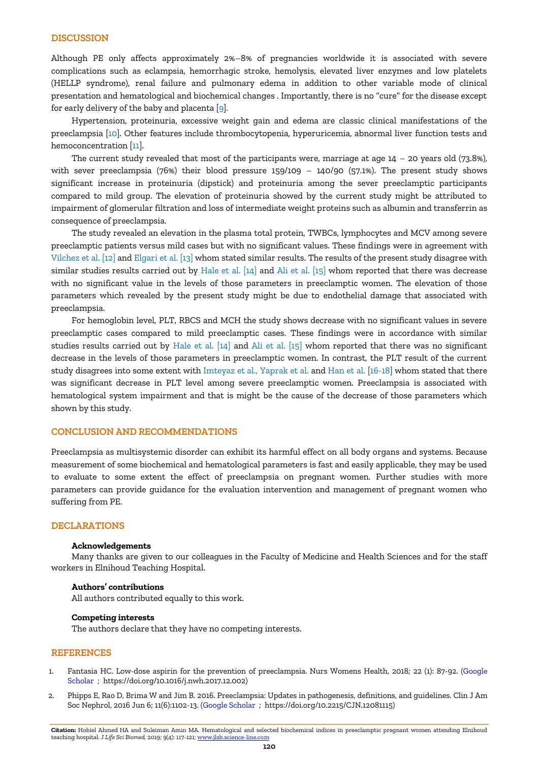## **DISCUSSION**

Although PE only affects approximately 2%–8% of pregnancies worldwide it is associated with severe complications such as eclampsia, hemorrhagic stroke, hemolysis, elevated liver enzymes and low platelets (HELLP syndrome), renal failure and pulmonary edema in addition to other variable mode of clinical presentation and hematological and biochemical changes . Importantly, there is no "cure" for the disease except for early delivery of the baby and placenta [\[9\]](#page-4-4).

Hypertension, proteinuria, excessive weight gain and edema are classic clinical manifestations of the preeclampsia [\[10\]](#page-4-5). Other features include thrombocytopenia, hyperuricemia, abnormal liver function tests and hemoconcentration [\[11\]](#page-4-6).

The current study revealed that most of the participants were, marriage at age 14 – 20 years old (73.8%), with sever preeclampsia (76%) their blood pressure 159/109 – 140/90 (57.1%). The present study shows significant increase in proteinuria (dipstick) and proteinuria among the sever preeclamptic participants compared to mild group. The elevation of proteinuria showed by the current study might be attributed to impairment of glomerular filtration and loss of intermediate weight proteins such as albumin and transferrin as consequence of preeclampsia.

The study revealed an elevation in the plasma total protein, TWBCs, lymphocytes and MCV among severe preeclamptic patients versus mild cases but with no significant values. These findings were in agreement with Vilchez et al. [\[12\]](#page-4-7) and Elgari et al. [\[13\]](#page-4-8) whom stated similar results. The results of the present study disagree with similar studies results carried out by Hale et al. [\[14\]](#page-4-9) and Ali et al. [\[15\]](#page-4-10) whom reported that there was decrease with no significant value in the levels of those parameters in preeclamptic women. The elevation of those parameters which revealed by the present study might be due to endothelial damage that associated with preeclampsia.

For hemoglobin level, PLT, RBCS and MCH the study shows decrease with no significant values in severe preeclamptic cases compared to mild preeclamptic cases. These findings were in accordance with similar studies results carried out by Hale et al. [\[14\]](#page-4-9) and Ali et al. [\[15\]](#page-4-10) whom reported that there was no significant decrease in the levels of those parameters in preeclamptic women. In contrast, the PLT result of the current study disagrees into some extent with Imteyaz et al., Yaprak et al. and Han et al. [\[16-18\]](#page-4-11) whom stated that there was significant decrease in PLT level among severe preeclamptic women. Preeclampsia is associated with hematological system impairment and that is might be the cause of the decrease of those parameters which shown by this study.

#### **CONCLUSION AND RECOMMENDATIONS**

Preeclampsia as multisystemic disorder can exhibit its harmful effect on all body organs and systems. Because measurement of some biochemical and hematological parameters is fast and easily applicable, they may be used to evaluate to some extent the effect of preeclampsia on pregnant women. Further studies with more parameters can provide guidance for the evaluation intervention and management of pregnant women who suffering from PE.

## **DECLARATIONS**

#### **Acknowledgements**

Many thanks are given to our colleagues in the Faculty of Medicine and Health Sciences and for the staff workers in Elnihoud Teaching Hospital.

#### **Authors' contributions**

All authors contributed equally to this work.

#### **Competing interests**

The authors declare that they have no competing interests.

#### **REFERENCES**

- <span id="page-3-0"></span>1. Fantasia HC. Low-dose aspirin for the prevention of preeclampsia. Nurs Womens Health, 2018; 22 (1): 87-92. [\(Google](https://scholar.google.com/scholar?hl=en&as_sdt=0%2C5&q=Fantasia+HC.+2018.+Low-dose+aspirin+for+the+prevention+of+preeclampsia.+Nurs+Womens+Health.+22+%281%29%3A+87-&btnG=#d=gs_cit&u=%2Fscholar%3Fq%3Dinfo%3AbnAaV90e-GYJ%3Ascholar.google.com%2F%26output%3Dcite%26scirp%3D0%26hl%3Den)  [Scholar ;](https://scholar.google.com/scholar?hl=en&as_sdt=0%2C5&q=Fantasia+HC.+2018.+Low-dose+aspirin+for+the+prevention+of+preeclampsia.+Nurs+Womens+Health.+22+%281%29%3A+87-&btnG=#d=gs_cit&u=%2Fscholar%3Fq%3Dinfo%3AbnAaV90e-GYJ%3Ascholar.google.com%2F%26output%3Dcite%26scirp%3D0%26hl%3Den) https://doi.org/10.1016/j.nwh.2017.12.002)
- <span id="page-3-1"></span>2. Phipps E, Rao D, Brima W and Jim B. 2016. Preeclampsia: Updates in pathogenesis, definitions, and guidelines. Clin J Am Soc Nephrol, 2016 Jun 6; 11(6):1102-13. [\(Google Scholar](https://scholar.google.com/scholar?hl=en&as_sdt=0%2C5&q=2.%09Phipps+E%2C+Rao+D%2C+Brima+WandJim+B.+2016.+Preeclampsia%3A+Updates+in+pathogenesis%2C+definitions%2C+and+guidelines.&btnG=#d=gs_cit&u=%2Fscholar%3Fq%3Dinfo%3AESwG_1KeMTQJ%3Ascholar.google.com%2F%26output%3Dcite%26scirp%3D0%26hl%3Den) ; https://doi.org/10.2215/CJN.12081115)